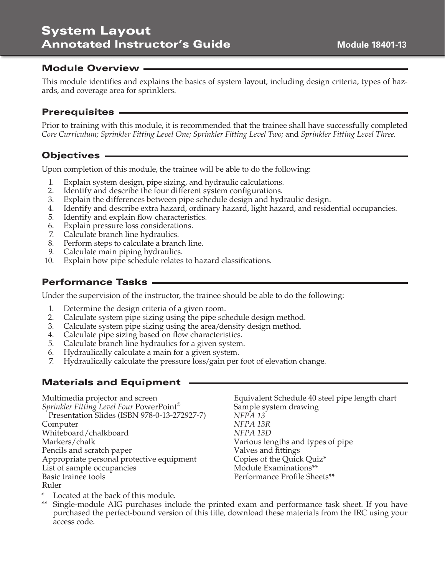# System Layout Annotated Instructor's Guide

#### Module Overview

This module identifies and explains the basics of system layout, including design criteria, types of hazards, and coverage area for sprinklers.

### Prerequisites

Prior to training with this module, it is recommended that the trainee shall have successfully completed *Core Curriculum; Sprinkler Fitting Level One; Sprinkler Fitting Level Two;* and *Sprinkler Fitting Level Three.*

### Objectives

Upon completion of this module, the trainee will be able to do the following:

- 1. Explain system design, pipe sizing, and hydraulic calculations.
- 2. Identify and describe the four different system configurations.
- 3. Explain the differences between pipe schedule design and hydraulic design.
- 4. Identify and describe extra hazard, ordinary hazard, light hazard, and residential occupancies.
- 5. Identify and explain flow characteristics.
- 6. Explain pressure loss considerations.
- 7. Calculate branch line hydraulics.
- 8. Perform steps to calculate a branch line.
- 9. Calculate main piping hydraulics.
- 10. Explain how pipe schedule relates to hazard classifications.

### Performance Tasks

Under the supervision of the instructor, the trainee should be able to do the following:

- 1. Determine the design criteria of a given room.
- 2. Calculate system pipe sizing using the pipe schedule design method.
- 3. Calculate system pipe sizing using the area/density design method.
- 4. Calculate pipe sizing based on flow characteristics.
- 5. Calculate branch line hydraulics for a given system.
- 6. Hydraulically calculate a main for a given system.
- 7. Hydraulically calculate the pressure loss/gain per foot of elevation change.

### Materials and Equipment

Multimedia projector and screen *Sprinkler Fitting Level Four* PowerPoint® Presentation Slides (ISBN 978-0-13-272927-7) Computer Whiteboard/chalkboard Markers/chalk Pencils and scratch paper Appropriate personal protective equipment List of sample occupancies Basic trainee tools Ruler

Equivalent Schedule 40 steel pipe length chart Sample system drawing *NFPA 13 NFPA 13R NFPA 13D* Various lengths and types of pipe Valves and fittings Copies of the Quick Quiz\* Module Examinations\*\* Performance Profile Sheets\*\*

- Located at the back of this module.
- Single-module AIG purchases include the printed exam and performance task sheet. If you have purchased the perfect-bound version of this title, download these materials from the IRC using your access code.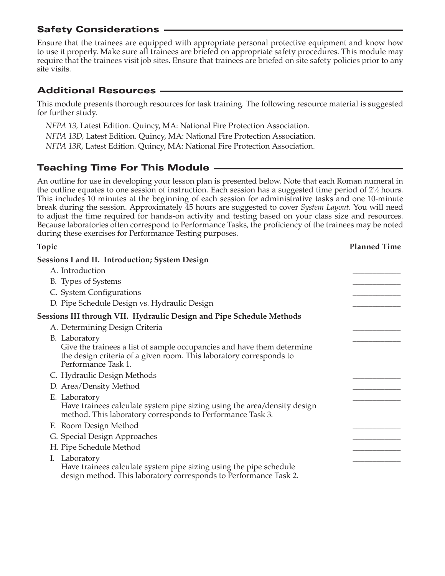Ensure that the trainees are equipped with appropriate personal protective equipment and know how to use it properly. Make sure all trainees are briefed on appropriate safety procedures. This module may require that the trainees visit job sites. Ensure that trainees are briefed on site safety policies prior to any site visits.

# Additional Resources

This module presents thorough resources for task training. The following resource material is suggested for further study.

*NFPA 13,* Latest Edition. Quincy, MA: National Fire Protection Association. *NFPA 13D,* Latest Edition. Quincy, MA: National Fire Protection Association. *NFPA 13R,* Latest Edition. Quincy, MA: National Fire Protection Association.

# Teaching Time For This Module

An outline for use in developing your lesson plan is presented below. Note that each Roman numeral in the outline equates to one session of instruction. Each session has a suggested time period of  $2\frac{1}{2}$  hours. This includes 10 minutes at the beginning of each session for administrative tasks and one 10-minute break during the session. Approximately 45 hours are suggested to cover *System Layout.* You will need to adjust the time required for hands-on activity and testing based on your class size and resources. Because laboratories often correspond to Performance Tasks, the proficiency of the trainees may be noted during these exercises for Performance Testing purposes.

| <b>Topic</b>                                                                                                                                                         | <b>Planned Time</b> |
|----------------------------------------------------------------------------------------------------------------------------------------------------------------------|---------------------|
| Sessions I and II. Introduction; System Design                                                                                                                       |                     |
| A. Introduction                                                                                                                                                      |                     |
| B. Types of Systems                                                                                                                                                  |                     |
| C. System Configurations                                                                                                                                             |                     |
| D. Pipe Schedule Design vs. Hydraulic Design                                                                                                                         |                     |
| Sessions III through VII. Hydraulic Design and Pipe Schedule Methods                                                                                                 |                     |
| A. Determining Design Criteria                                                                                                                                       |                     |
| B. Laboratory                                                                                                                                                        |                     |
| Give the trainees a list of sample occupancies and have them determine<br>the design criteria of a given room. This laboratory corresponds to<br>Performance Task 1. |                     |
| C. Hydraulic Design Methods                                                                                                                                          |                     |
| D. Area/Density Method                                                                                                                                               |                     |
| E. Laboratory                                                                                                                                                        |                     |
| Have trainees calculate system pipe sizing using the area/density design<br>method. This laboratory corresponds to Performance Task 3.                               |                     |
| F. Room Design Method                                                                                                                                                |                     |
| G. Special Design Approaches                                                                                                                                         |                     |
| H. Pipe Schedule Method                                                                                                                                              |                     |
| Laboratory<br>I.<br>Have trainees calculate system pipe sizing using the pipe schedule<br>design method. This laboratory corresponds to Performance Task 2.          |                     |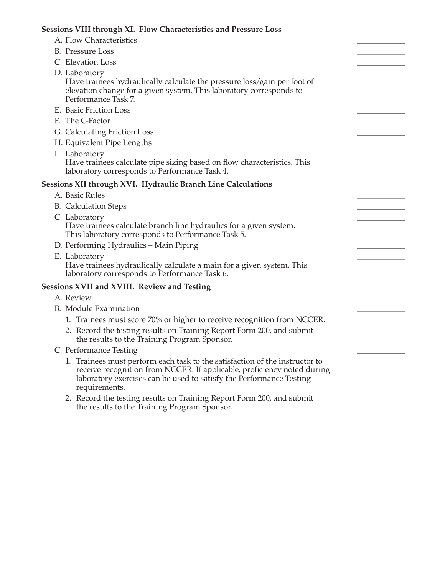| Sessions VIII through XI. Flow Characteristics and Pressure Loss                                                                                                                                                                               |  |
|------------------------------------------------------------------------------------------------------------------------------------------------------------------------------------------------------------------------------------------------|--|
| A. Flow Characteristics                                                                                                                                                                                                                        |  |
| <b>B.</b> Pressure Loss                                                                                                                                                                                                                        |  |
| C. Elevation Loss                                                                                                                                                                                                                              |  |
| D. Laboratory                                                                                                                                                                                                                                  |  |
| Have trainees hydraulically calculate the pressure loss/gain per foot of<br>elevation change for a given system. This laboratory corresponds to<br>Performance Task 7.                                                                         |  |
| E. Basic Friction Loss                                                                                                                                                                                                                         |  |
| F. The C-Factor                                                                                                                                                                                                                                |  |
| G. Calculating Friction Loss                                                                                                                                                                                                                   |  |
| H. Equivalent Pipe Lengths                                                                                                                                                                                                                     |  |
| I. Laboratory                                                                                                                                                                                                                                  |  |
| Have trainees calculate pipe sizing based on flow characteristics. This<br>laboratory corresponds to Performance Task 4.                                                                                                                       |  |
| Sessions XII through XVI. Hydraulic Branch Line Calculations                                                                                                                                                                                   |  |
| A. Basic Rules                                                                                                                                                                                                                                 |  |
| <b>B.</b> Calculation Steps                                                                                                                                                                                                                    |  |
| C. Laboratory<br>Have trainees calculate branch line hydraulics for a given system.<br>This laboratory corresponds to Performance Task 5.                                                                                                      |  |
| D. Performing Hydraulics - Main Piping                                                                                                                                                                                                         |  |
| E. Laboratory                                                                                                                                                                                                                                  |  |
| Have trainees hydraulically calculate a main for a given system. This<br>laboratory corresponds to Performance Task 6.                                                                                                                         |  |
| Sessions XVII and XVIII. Review and Testing                                                                                                                                                                                                    |  |
| A. Review                                                                                                                                                                                                                                      |  |
| <b>B.</b> Module Examination                                                                                                                                                                                                                   |  |
| 1. Trainees must score 70% or higher to receive recognition from NCCER.                                                                                                                                                                        |  |
| 2. Record the testing results on Training Report Form 200, and submit<br>the results to the Training Program Sponsor.                                                                                                                          |  |
| C. Performance Testing                                                                                                                                                                                                                         |  |
| 1. Trainees must perform each task to the satisfaction of the instructor to<br>receive recognition from NCCER. If applicable, proficiency noted during<br>laboratory exercises can be used to satisfy the Performance Testing<br>requirements. |  |

 2. Record the testing results on Training Report Form 200, and submit the results to the Training Program Sponsor.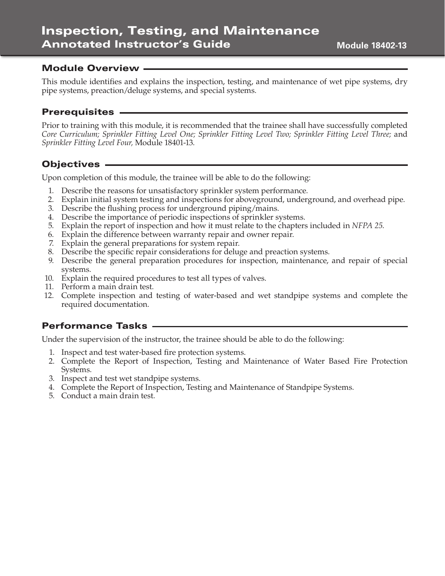#### Module Overview

This module identifies and explains the inspection, testing, and maintenance of wet pipe systems, dry pipe systems, preaction/deluge systems, and special systems.

#### Prerequisites

Prior to training with this module, it is recommended that the trainee shall have successfully completed *Core Curriculum; Sprinkler Fitting Level One; Sprinkler Fitting Level Two; Sprinkler Fitting Level Three;* and *Sprinkler Fitting Level Four,* Module 18401-13.

#### Objectives

Upon completion of this module, the trainee will be able to do the following:

- 1. Describe the reasons for unsatisfactory sprinkler system performance.
- 2. Explain initial system testing and inspections for aboveground, underground, and overhead pipe.
- 3. Describe the flushing process for underground piping/mains.
- 4. Describe the importance of periodic inspections of sprinkler systems.
- 5. Explain the report of inspection and how it must relate to the chapters included in *NFPA 25*.
- 6. Explain the difference between warranty repair and owner repair.
- 7. Explain the general preparations for system repair.
- 8. Describe the specific repair considerations for deluge and preaction systems.
- 9. Describe the general preparation procedures for inspection, maintenance, and repair of special systems.
- 10. Explain the required procedures to test all types of valves.
- 11. Perform a main drain test.
- 12. Complete inspection and testing of water-based and wet standpipe systems and complete the required documentation.

### Performance Tasks

Under the supervision of the instructor, the trainee should be able to do the following:

- 1. Inspect and test water-based fire protection systems.
- 2. Complete the Report of Inspection, Testing and Maintenance of Water Based Fire Protection Systems.
- 3. Inspect and test wet standpipe systems.
- 4. Complete the Report of Inspection, Testing and Maintenance of Standpipe Systems.
- 5. Conduct a main drain test.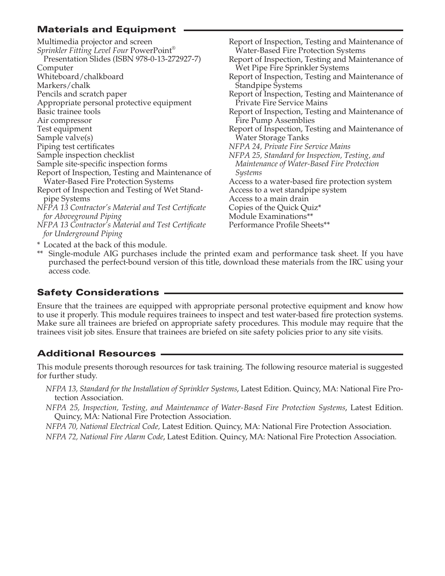# Materials and Equipment

| Multimedia projector and screen                    |
|----------------------------------------------------|
| Sprinkler Fitting Level Four PowerPoint®           |
| Presentation Slides (ISBN 978-0-13-272927-7)       |
| Computer                                           |
| Whiteboard/chalkboard                              |
| Markers/chalk                                      |
| Pencils and scratch paper                          |
| Appropriate personal protective equipment          |
| Basic trainee tools                                |
| Air compressor                                     |
| Test equipment                                     |
| Sample valve(s)                                    |
| Piping test certificates                           |
| Sample inspection checklist                        |
| Sample site-specific inspection forms              |
| Report of Inspection, Testing and Maintenance of   |
| <b>Water-Based Fire Protection Systems</b>         |
| Report of Inspection and Testing of Wet Stand-     |
| pipe Systems                                       |
| NFPA 13 Contractor's Material and Test Certificate |
| for Aboveground Piping                             |
| NFPA 13 Contractor's Material and Test Certificate |
| for Underground Piping                             |

Report of Inspection, Testing and Maintenance of Water-Based Fire Protection Systems Report of Inspection, Testing and Maintenance of Wet Pipe Fire Sprinkler Systems Report of Inspection, Testing and Maintenance of Standpipe Systems Report of Inspection, Testing and Maintenance of Private Fire Service Mains Report of Inspection, Testing and Maintenance of Fire Pump Assemblies Report of Inspection, Testing and Maintenance of Water Storage Tanks *NFPA 24, Private Fire Service Mains NFPA 25, Standard for Inspection, Testing, and Maintenance of Water-Based Fire Protection Systems* Access to a water-based fire protection system Access to a wet standpipe system Access to a main drain Copies of the Quick Quiz\* Module Examinations\*\* Performance Profile Sheets\*\*

- \* Located at the back of this module.
- \*\* Single-module AIG purchases include the printed exam and performance task sheet. If you have purchased the perfect-bound version of this title, download these materials from the IRC using your access code.

### Safety Considerations

Ensure that the trainees are equipped with appropriate personal protective equipment and know how to use it properly. This module requires trainees to inspect and test water-based fire protection systems. Make sure all trainees are briefed on appropriate safety procedures. This module may require that the trainees visit job sites. Ensure that trainees are briefed on site safety policies prior to any site visits.

# Additional Resources

This module presents thorough resources for task training. The following resource material is suggested for further study.

- *NFPA 13, Standard for the Installation of Sprinkler Systems*, Latest Edition. Quincy, MA: National Fire Protection Association.
- *NFPA 25, Inspection, Testing, and Maintenance of Water-Based Fire Protection Systems*, Latest Edition. Quincy, MA: National Fire Protection Association.

*NFPA 70, National Electrical Code,* Latest Edition. Quincy, MA: National Fire Protection Association.

*NFPA 72, National Fire Alarm Code*, Latest Edition. Quincy, MA: National Fire Protection Association.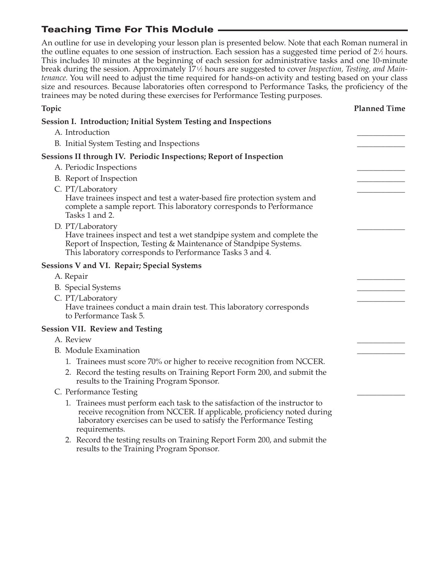# Teaching Time For This Module

An outline for use in developing your lesson plan is presented below. Note that each Roman numeral in the outline equates to one session of instruction. Each session has a suggested time period of  $2\frac{1}{2}$  hours. This includes 10 minutes at the beginning of each session for administrative tasks and one 10-minute break during the session. Approximately 17<sup>1</sup>/<sub>2</sub> hours are suggested to cover *Inspection*, Testing, and Main*tenance*. You will need to adjust the time required for hands-on activity and testing based on your class size and resources. Because laboratories often correspond to Performance Tasks, the proficiency of the trainees may be noted during these exercises for Performance Testing purposes.

| <b>Topic</b>                                                                                                                                                                                                                                   | <b>Planned Time</b> |
|------------------------------------------------------------------------------------------------------------------------------------------------------------------------------------------------------------------------------------------------|---------------------|
| Session I. Introduction; Initial System Testing and Inspections                                                                                                                                                                                |                     |
| A. Introduction                                                                                                                                                                                                                                |                     |
| B. Initial System Testing and Inspections                                                                                                                                                                                                      |                     |
| Sessions II through IV. Periodic Inspections; Report of Inspection                                                                                                                                                                             |                     |
| A. Periodic Inspections                                                                                                                                                                                                                        |                     |
| B. Report of Inspection                                                                                                                                                                                                                        |                     |
| C. PT/Laboratory<br>Have trainees inspect and test a water-based fire protection system and<br>complete a sample report. This laboratory corresponds to Performance<br>Tasks 1 and 2.                                                          |                     |
| D. PT/Laboratory                                                                                                                                                                                                                               |                     |
| Have trainees inspect and test a wet standpipe system and complete the<br>Report of Inspection, Testing & Maintenance of Standpipe Systems.<br>This laboratory corresponds to Performance Tasks 3 and 4.                                       |                     |
| Sessions V and VI. Repair; Special Systems                                                                                                                                                                                                     |                     |
| A. Repair                                                                                                                                                                                                                                      |                     |
| <b>B.</b> Special Systems                                                                                                                                                                                                                      |                     |
| C. PT/Laboratory                                                                                                                                                                                                                               |                     |
| Have trainees conduct a main drain test. This laboratory corresponds<br>to Performance Task 5.                                                                                                                                                 |                     |
| <b>Session VII. Review and Testing</b>                                                                                                                                                                                                         |                     |
| A. Review                                                                                                                                                                                                                                      |                     |
| <b>B.</b> Module Examination                                                                                                                                                                                                                   |                     |
| 1. Trainees must score 70% or higher to receive recognition from NCCER.                                                                                                                                                                        |                     |
| 2. Record the testing results on Training Report Form 200, and submit the<br>results to the Training Program Sponsor.                                                                                                                          |                     |
| C. Performance Testing                                                                                                                                                                                                                         |                     |
| 1. Trainees must perform each task to the satisfaction of the instructor to<br>receive recognition from NCCER. If applicable, proficiency noted during<br>laboratory exercises can be used to satisfy the Performance Testing<br>requirements. |                     |

 2. Record the testing results on Training Report Form 200, and submit the results to the Training Program Sponsor.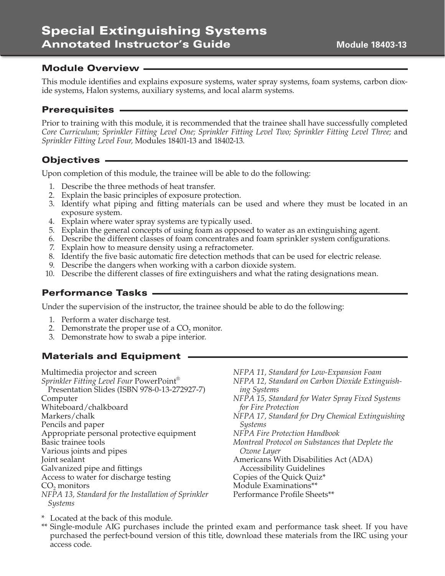### Module Overview

This module identifies and explains exposure systems, water spray systems, foam systems, carbon dioxide systems, Halon systems, auxiliary systems, and local alarm systems.

### Prerequisites

Prior to training with this module, it is recommended that the trainee shall have successfully completed *Core Curriculum; Sprinkler Fitting Level One; Sprinkler Fitting Level Two; Sprinkler Fitting Level Three;* and *Sprinkler Fitting Level Four,* Modules 18401-13 and 18402-13.

### Objectives

Upon completion of this module, the trainee will be able to do the following:

- 1. Describe the three methods of heat transfer.
- 2. Explain the basic principles of exposure protection.
- 3. Identify what piping and fitting materials can be used and where they must be located in an exposure system.
- 4. Explain where water spray systems are typically used.
- 5. Explain the general concepts of using foam as opposed to water as an extinguishing agent.
- 6. Describe the different classes of foam concentrates and foam sprinkler system configurations.
- 7. Explain how to measure density using a refractometer.
- 8. Identify the five basic automatic fire detection methods that can be used for electric release.
- 9. Describe the dangers when working with a carbon dioxide system.
- 10. Describe the different classes of fire extinguishers and what the rating designations mean.

### Performance Tasks

Under the supervision of the instructor, the trainee should be able to do the following:

- 1. Perform a water discharge test.
- 2. Demonstrate the proper use of a  $CO<sub>2</sub>$  monitor.
- 3. Demonstrate how to swab a pipe interior.

### Materials and Equipment

Multimedia projector and screen *Sprinkler Fitting Level Four* PowerPoint® Presentation Slides (ISBN 978-0-13-272927-7) Computer Whiteboard/chalkboard Markers/chalk Pencils and paper Appropriate personal protective equipment Basic trainee tools Various joints and pipes Joint sealant Galvanized pipe and fittings Access to water for discharge testing  $CO<sub>2</sub>$  monitors *NFPA 13, Standard for the Installation of Sprinkler Systems* 

*NFPA 11, Standard for Low-Expansion Foam NFPA 12, Standard on Carbon Dioxide Extinguishing Systems NFPA 15, Standard for Water Spray Fixed Systems for Fire Protection NFPA 17, Standard for Dry Chemical Extinguishing Systems NFPA Fire Protection Handbook Montreal Protocol on Substances that Deplete the Ozone Layer* Americans With Disabilities Act (ADA) Accessibility Guidelines Copies of the Quick Quiz\* Module Examinations\*\* Performance Profile Sheets\*\*

- \* Located at the back of this module.
- \*\* Single-module AIG purchases include the printed exam and performance task sheet. If you have purchased the perfect-bound version of this title, download these materials from the IRC using your access code.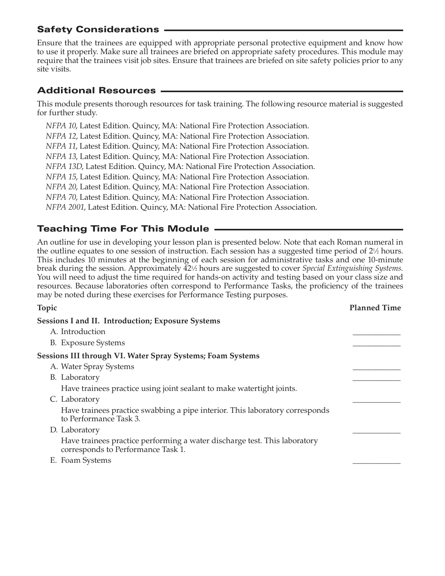Ensure that the trainees are equipped with appropriate personal protective equipment and know how to use it properly. Make sure all trainees are briefed on appropriate safety procedures. This module may require that the trainees visit job sites. Ensure that trainees are briefed on site safety policies prior to any site visits.

### Additional Resources

This module presents thorough resources for task training. The following resource material is suggested for further study.

*NFPA 10*, Latest Edition. Quincy, MA: National Fire Protection Association. *NFPA 12*, Latest Edition. Quincy, MA: National Fire Protection Association. *NFPA 11*, Latest Edition. Quincy, MA: National Fire Protection Association. *NFPA 13*, Latest Edition. Quincy, MA: National Fire Protection Association. *NFPA 13D*, Latest Edition. Quincy, MA: National Fire Protection Association. *NFPA 15*, Latest Edition. Quincy, MA: National Fire Protection Association. *NFPA 20*, Latest Edition. Quincy, MA: National Fire Protection Association. *NFPA 70*, Latest Edition. Quincy, MA: National Fire Protection Association. *NFPA 2001*, Latest Edition. Quincy, MA: National Fire Protection Association.

### Teaching Time For This Module

An outline for use in developing your lesson plan is presented below. Note that each Roman numeral in the outline equates to one session of instruction. Each session has a suggested time period of  $2\frac{1}{2}$  hours. This includes 10 minutes at the beginning of each session for administrative tasks and one 10-minute break during the session. Approximately 42<sup>1</sup>/<sub>2</sub> hours are suggested to cover *Special Extinguishing Systems*. You will need to adjust the time required for hands-on activity and testing based on your class size and resources. Because laboratories often correspond to Performance Tasks, the proficiency of the trainees may be noted during these exercises for Performance Testing purposes.

| Topic                                                                                                           | <b>Planned Time</b> |
|-----------------------------------------------------------------------------------------------------------------|---------------------|
| <b>Sessions I and II. Introduction; Exposure Systems</b>                                                        |                     |
| A. Introduction                                                                                                 |                     |
| <b>B.</b> Exposure Systems                                                                                      |                     |
| Sessions III through VI. Water Spray Systems; Foam Systems                                                      |                     |
| A. Water Spray Systems                                                                                          |                     |
| B. Laboratory                                                                                                   |                     |
| Have trainees practice using joint sealant to make watertight joints.                                           |                     |
| C. Laboratory                                                                                                   |                     |
| Have trainees practice swabbing a pipe interior. This laboratory corresponds<br>to Performance Task 3.          |                     |
| D. Laboratory                                                                                                   |                     |
| Have trainees practice performing a water discharge test. This laboratory<br>corresponds to Performance Task 1. |                     |
| E. Foam Systems                                                                                                 |                     |
|                                                                                                                 |                     |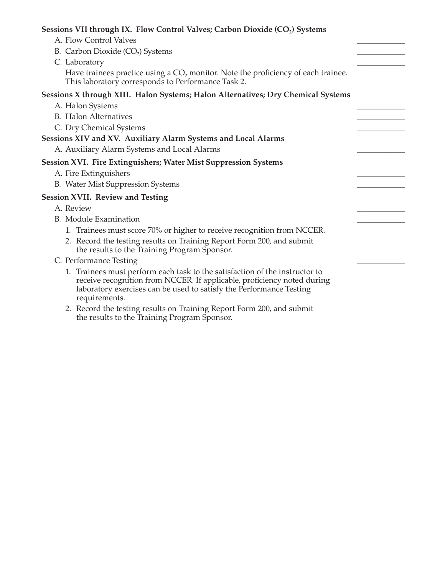| Sessions VII through IX. Flow Control Valves; Carbon Dioxide (CO <sub>2</sub> ) Systems                                                                                                                                                        |  |
|------------------------------------------------------------------------------------------------------------------------------------------------------------------------------------------------------------------------------------------------|--|
| A. Flow Control Valves                                                                                                                                                                                                                         |  |
| B. Carbon Dioxide $(CO2)$ Systems                                                                                                                                                                                                              |  |
| C. Laboratory                                                                                                                                                                                                                                  |  |
| Have trainees practice using a $CO2$ monitor. Note the proficiency of each trainee.<br>This laboratory corresponds to Performance Task 2.                                                                                                      |  |
| Sessions X through XIII. Halon Systems; Halon Alternatives; Dry Chemical Systems                                                                                                                                                               |  |
| A. Halon Systems                                                                                                                                                                                                                               |  |
| <b>B.</b> Halon Alternatives                                                                                                                                                                                                                   |  |
| C. Dry Chemical Systems                                                                                                                                                                                                                        |  |
| Sessions XIV and XV. Auxiliary Alarm Systems and Local Alarms                                                                                                                                                                                  |  |
| A. Auxiliary Alarm Systems and Local Alarms                                                                                                                                                                                                    |  |
| Session XVI. Fire Extinguishers; Water Mist Suppression Systems                                                                                                                                                                                |  |
| A. Fire Extinguishers                                                                                                                                                                                                                          |  |
| B. Water Mist Suppression Systems                                                                                                                                                                                                              |  |
| <b>Session XVII. Review and Testing</b>                                                                                                                                                                                                        |  |
| A. Review                                                                                                                                                                                                                                      |  |
| <b>B.</b> Module Examination                                                                                                                                                                                                                   |  |
| 1. Trainees must score 70% or higher to receive recognition from NCCER.                                                                                                                                                                        |  |
| 2. Record the testing results on Training Report Form 200, and submit<br>the results to the Training Program Sponsor.                                                                                                                          |  |
| C. Performance Testing                                                                                                                                                                                                                         |  |
| 1. Trainees must perform each task to the satisfaction of the instructor to<br>receive recognition from NCCER. If applicable, proficiency noted during<br>laboratory exercises can be used to satisfy the Performance Testing<br>requirements. |  |
| $1.$ T $.$ D $.$ T $.$ $0.00$ $1.1.$                                                                                                                                                                                                           |  |

 2. Record the testing results on Training Report Form 200, and submit the results to the Training Program Sponsor.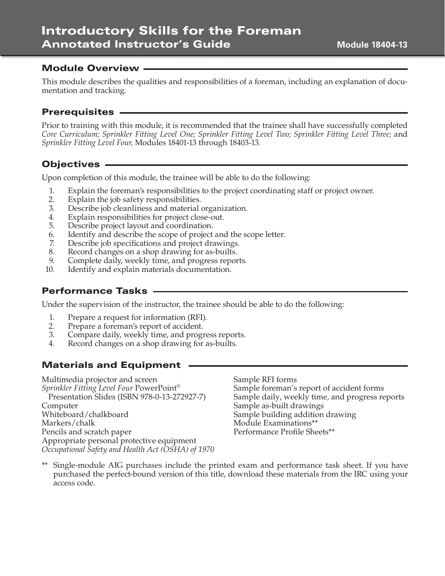#### Module Overview

This module describes the qualities and responsibilities of a foreman, including an explanation of documentation and tracking.

#### Prerequisites

Prior to training with this module, it is recommended that the trainee shall have successfully completed *Core Curriculum; Sprinkler Fitting Level One; Sprinkler Fitting Level Two; Sprinkler Fitting Level Three;* and *Sprinkler Fitting Level Four,* Modules 18401-13 through 18403-13.

#### Objectives

Upon completion of this module, the trainee will be able to do the following:

- 1. Explain the foreman's responsibilities to the project coordinating staff or project owner.
- 2. Explain the job safety responsibilities.<br>3. Describe job cleanliness and material
- Describe job cleanliness and material organization.
- 4. Explain responsibilities for project close-out.
- 5. Describe project layout and coordination.
- 6. Identify and describe the scope of project and the scope letter.
- 7. Describe job specifications and project drawings.
- 8. Record changes on a shop drawing for as-builts.
- 9. Complete daily, weekly time, and progress reports.
- 10. Identify and explain materials documentation.

#### Performance Tasks

Under the supervision of the instructor, the trainee should be able to do the following:

- 1. Prepare a request for information (RFI).<br>2. Prepare a foreman's report of accident.
- Prepare a foreman's report of accident.
- 3. Compare daily, weekly time, and progress reports.
- 4. Record changes on a shop drawing for as-builts.

### Materials and Equipment

Multimedia projector and screen *Sprinkler Fitting Level Four* PowerPoint® Presentation Slides (ISBN 978-0-13-272927-7) Computer Whiteboard/chalkboard Markers/chalk Pencils and scratch paper Appropriate personal protective equipment *Occupational Safety and Health Act (OSHA) of 1970* Sample RFI forms Sample foreman's report of accident forms Sample daily, weekly time, and progress reports Sample as-built drawings Sample building addition drawing Module Examinations\*\* Performance Profile Sheets\*\*

\*\* Single-module AIG purchases include the printed exam and performance task sheet. If you have purchased the perfect-bound version of this title, download these materials from the IRC using your access code.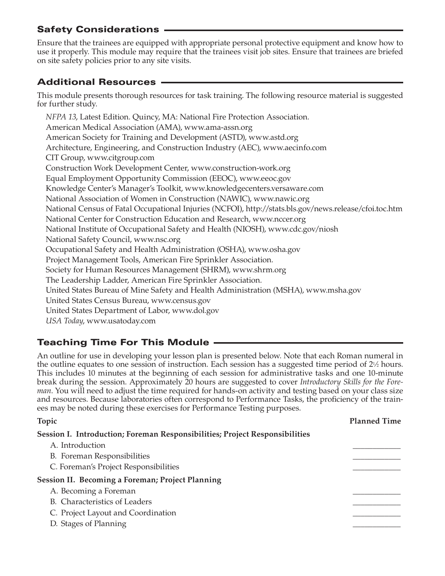Ensure that the trainees are equipped with appropriate personal protective equipment and know how to use it properly. This module may require that the trainees visit job sites. Ensure that trainees are briefed on site safety policies prior to any site visits.

# Additional Resources

This module presents thorough resources for task training. The following resource material is suggested for further study.

*NFPA 13*, Latest Edition. Quincy, MA: National Fire Protection Association. American Medical Association (AMA), www.ama-assn.org American Society for Training and Development (ASTD), www.astd.org Architecture, Engineering, and Construction Industry (AEC), www.aecinfo.com CIT Group, www.citgroup.com Construction Work Development Center, www.construction-work.org Equal Employment Opportunity Commission (EEOC), www.eeoc.gov Knowledge Center's Manager's Toolkit, www.knowledgecenters.versaware.com National Association of Women in Construction (NAWIC), www.nawic.org National Census of Fatal Occupational Injuries (NCFOI), http://stats.bls.gov/news.release/cfoi.toc.htm National Center for Construction Education and Research, www.nccer.org National Institute of Occupational Safety and Health (NIOSH), www.cdc.gov/niosh National Safety Council, www.nsc.org Occupational Safety and Health Administration (OSHA), www.osha.gov Project Management Tools, American Fire Sprinkler Association. Society for Human Resources Management (SHRM), www.shrm.org The Leadership Ladder, American Fire Sprinkler Association. United States Bureau of Mine Safety and Health Administration (MSHA), www.msha.gov United States Census Bureau, www.census.gov United States Department of Labor, www.dol.gov *USA Today*, www.usatoday.com

# Teaching Time For This Module

An outline for use in developing your lesson plan is presented below. Note that each Roman numeral in the outline equates to one session of instruction. Each session has a suggested time period of  $2\frac{1}{2}$  hours. This includes 10 minutes at the beginning of each session for administrative tasks and one 10-minute break during the session. Approximately 20 hours are suggested to cover *Introductory Skills for the Foreman*. You will need to adjust the time required for hands-on activity and testing based on your class size and resources. Because laboratories often correspond to Performance Tasks, the proficiency of the trainees may be noted during these exercises for Performance Testing purposes.

| Topic                                                                       | <b>Planned Time</b> |
|-----------------------------------------------------------------------------|---------------------|
| Session I. Introduction; Foreman Responsibilities; Project Responsibilities |                     |
| A. Introduction                                                             |                     |
| B. Foreman Responsibilities                                                 |                     |
| C. Foreman's Project Responsibilities                                       |                     |
| <b>Session II. Becoming a Foreman; Project Planning</b>                     |                     |
| A. Becoming a Foreman                                                       |                     |
| B. Characteristics of Leaders                                               |                     |
| C. Project Layout and Coordination                                          |                     |
| D. Stages of Planning                                                       |                     |
|                                                                             |                     |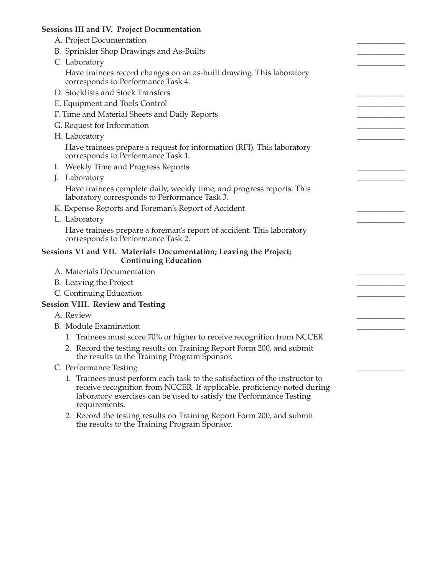### **Sessions III and IV. Project Documentation**

| $\sim$                                                                                                                                                                                                                                         |  |
|------------------------------------------------------------------------------------------------------------------------------------------------------------------------------------------------------------------------------------------------|--|
| A. Project Documentation                                                                                                                                                                                                                       |  |
| B. Sprinkler Shop Drawings and As-Builts                                                                                                                                                                                                       |  |
| C. Laboratory                                                                                                                                                                                                                                  |  |
| Have trainees record changes on an as-built drawing. This laboratory<br>corresponds to Performance Task 4.                                                                                                                                     |  |
| D. Stocklists and Stock Transfers                                                                                                                                                                                                              |  |
| E. Equipment and Tools Control                                                                                                                                                                                                                 |  |
| F. Time and Material Sheets and Daily Reports                                                                                                                                                                                                  |  |
| G. Request for Information                                                                                                                                                                                                                     |  |
| H. Laboratory                                                                                                                                                                                                                                  |  |
| Have trainees prepare a request for information (RFI). This laboratory<br>corresponds to Performance Task 1.                                                                                                                                   |  |
| I. Weekly Time and Progress Reports                                                                                                                                                                                                            |  |
| Laboratory<br>J.                                                                                                                                                                                                                               |  |
| Have trainees complete daily, weekly time, and progress reports. This<br>laboratory corresponds to Performance Task 3.                                                                                                                         |  |
| K. Expense Reports and Foreman's Report of Accident                                                                                                                                                                                            |  |
| L. Laboratory                                                                                                                                                                                                                                  |  |
| Have trainees prepare a foreman's report of accident. This laboratory<br>corresponds to Performance Task 2.                                                                                                                                    |  |
| Sessions VI and VII. Materials Documentation; Leaving the Project;<br><b>Continuing Education</b>                                                                                                                                              |  |
| A. Materials Documentation                                                                                                                                                                                                                     |  |
| B. Leaving the Project                                                                                                                                                                                                                         |  |
| C. Continuing Education                                                                                                                                                                                                                        |  |
| <b>Session VIII. Review and Testing</b>                                                                                                                                                                                                        |  |
| A. Review                                                                                                                                                                                                                                      |  |
| B. Module Examination                                                                                                                                                                                                                          |  |
| 1. Trainees must score 70% or higher to receive recognition from NCCER.                                                                                                                                                                        |  |
| 2. Record the testing results on Training Report Form 200, and submit<br>the results to the Training Program Sponsor.                                                                                                                          |  |
| C. Performance Testing                                                                                                                                                                                                                         |  |
| 1. Trainees must perform each task to the satisfaction of the instructor to<br>receive recognition from NCCER. If applicable, proficiency noted during<br>laboratory exercises can be used to satisfy the Performance Testing<br>requirements. |  |
| 2. Record the testing results on Training Report Form 200, and submit                                                                                                                                                                          |  |

the results to the Training Program Sponsor.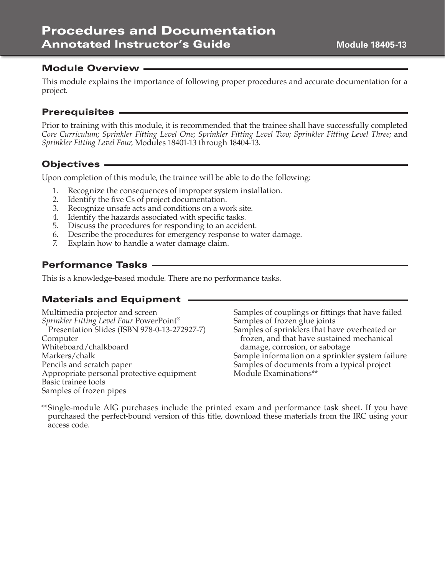# Procedures and Documentation Annotated Instructor's Guide

#### Module Overview

This module explains the importance of following proper procedures and accurate documentation for a project.

#### Prerequisites

Prior to training with this module, it is recommended that the trainee shall have successfully completed *Core Curriculum; Sprinkler Fitting Level One; Sprinkler Fitting Level Two; Sprinkler Fitting Level Three;* and *Sprinkler Fitting Level Four,* Modules 18401-13 through 18404-13.

### Objectives

Upon completion of this module, the trainee will be able to do the following:

- 1. Recognize the consequences of improper system installation.
- 2. Identify the five Cs of project documentation.
- 3. Recognize unsafe acts and conditions on a work site.
- 4. Identify the hazards associated with specific tasks.
- 5. Discuss the procedures for responding to an accident.
- 6. Describe the procedures for emergency response to water damage.
- 7. Explain how to handle a water damage claim.

### Performance Tasks

This is a knowledge-based module. There are no performance tasks.

#### Materials and Equipment

Multimedia projector and screen *Sprinkler Fitting Level Four* PowerPoint® Presentation Slides (ISBN 978-0-13-272927-7) Computer Whiteboard/chalkboard Markers/chalk Pencils and scratch paper Appropriate personal protective equipment Basic trainee tools Samples of frozen pipes

Samples of couplings or fittings that have failed Samples of frozen glue joints Samples of sprinklers that have overheated or frozen, and that have sustained mechanical damage, corrosion, or sabotage Sample information on a sprinkler system failure Samples of documents from a typical project Module Examinations\*\*

\*\* Single-module AIG purchases include the printed exam and performance task sheet. If you have purchased the perfect-bound version of this title, download these materials from the IRC using your access code.